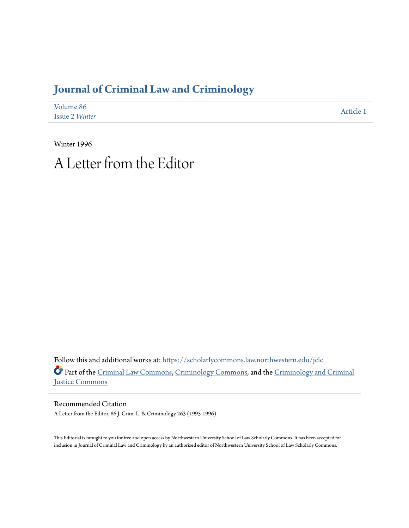## **[Journal of Criminal Law and Criminology](https://scholarlycommons.law.northwestern.edu/jclc?utm_source=scholarlycommons.law.northwestern.edu%2Fjclc%2Fvol86%2Fiss2%2F1&utm_medium=PDF&utm_campaign=PDFCoverPages)**

| Volume 86             | Article 1 |
|-----------------------|-----------|
| <b>Issue 2 Winter</b> |           |

Winter 1996

## A Letter from the Editor

Follow this and additional works at: [https://scholarlycommons.law.northwestern.edu/jclc](https://scholarlycommons.law.northwestern.edu/jclc?utm_source=scholarlycommons.law.northwestern.edu%2Fjclc%2Fvol86%2Fiss2%2F1&utm_medium=PDF&utm_campaign=PDFCoverPages) Part of the [Criminal Law Commons](http://network.bepress.com/hgg/discipline/912?utm_source=scholarlycommons.law.northwestern.edu%2Fjclc%2Fvol86%2Fiss2%2F1&utm_medium=PDF&utm_campaign=PDFCoverPages), [Criminology Commons](http://network.bepress.com/hgg/discipline/417?utm_source=scholarlycommons.law.northwestern.edu%2Fjclc%2Fvol86%2Fiss2%2F1&utm_medium=PDF&utm_campaign=PDFCoverPages), and the [Criminology and Criminal](http://network.bepress.com/hgg/discipline/367?utm_source=scholarlycommons.law.northwestern.edu%2Fjclc%2Fvol86%2Fiss2%2F1&utm_medium=PDF&utm_campaign=PDFCoverPages) [Justice Commons](http://network.bepress.com/hgg/discipline/367?utm_source=scholarlycommons.law.northwestern.edu%2Fjclc%2Fvol86%2Fiss2%2F1&utm_medium=PDF&utm_campaign=PDFCoverPages)

Recommended Citation A Letter from the Editor, 86 J. Crim. L. & Criminology 263 (1995-1996)

This Editorial is brought to you for free and open access by Northwestern University School of Law Scholarly Commons. It has been accepted for inclusion in Journal of Criminal Law and Criminology by an authorized editor of Northwestern University School of Law Scholarly Commons.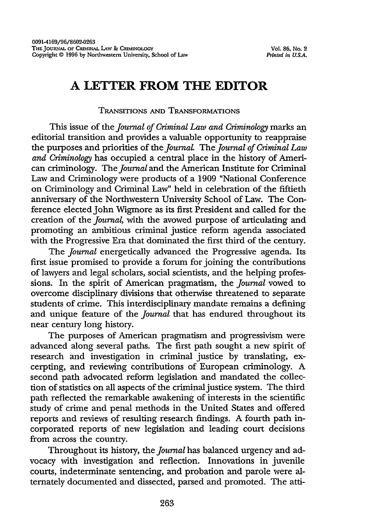## **A LETTER FROM THE EDITOR**

TRANSITIONS AND TRANSFORMATIONS

This issue of the *Journal of Criminal Law and Ciminology* marks an editorial transition and provides a valuable opportunity to reappraise the purposes and priorities of the *Journal* The *Journal of Criminal Law and Criminology* has occupied a central place in the history of American criminology. The *Journal* and the American Institute for Criminal Law and Criminology were products of a 1909 "National Conference on Criminology and Criminal Law" held in celebration of the fiftieth anniversary of the Northwestern University School of Law. The Conference elected John Wigmore as its first President and called for the creation of the *Journal*, with the avowed purpose of articulating and promoting an ambitious criminal justice reform agenda associated with the Progressive Era that dominated the first third of the century.

The *Journal* energetically advanced the Progressive agenda. Its first issue promised to provide a forum for joining the contributions of lawyers and legal scholars, social scientists, and the helping professions. In the spirit of American pragmatism, the *Journal* vowed to overcome disciplinary divisions that otherwise threatened to separate students of crime. This interdisciplinary mandate remains a defining and unique feature of the *Journal* that has endured throughout its near century long history.

The purposes of American pragmatism and progressivism were advanced along several paths. The first path sought a new spirit of research and investigation in criminal justice by translating, excerpting, and reviewing contributions of European criminology. A second path advocated reform legislation and mandated the collection of statistics on all aspects of the criminal justice system. The third path reflected the remarkable awakening of interests in the scientific study of crime and penal methods in the United States and offered reports and reviews of resulting research findings. A fourth path incorporated reports of new legislation and leading court decisions from across the country.

Throughout its history, the *Journal* has balanced urgency and advocacy with investigation and reflection. Innovations in juvenile courts, indeterminate sentencing, and probation and parole were alternately documented and dissected, parsed and promoted. The atti-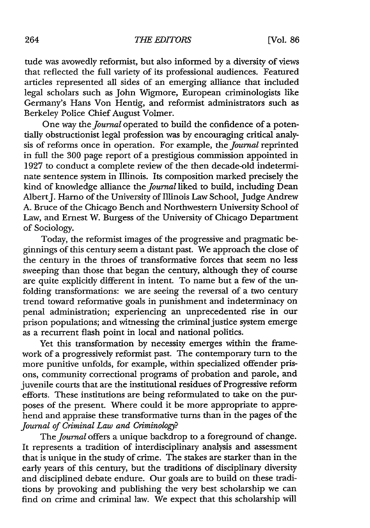tude was avowedly reformist, but also informed by a diversity of views that reflected the full variety of its professional audiences. Featured articles represented all sides of an emerging alliance that included legal scholars such as John Wigmore, European criminologists like Germany's Hans Von Hentig, and reformist administrators such as Berkeley Police Chief August Volmer.

One way the *Journal* operated to build the confidence of a potentially obstructionist legal profession was by encouraging critical analysis of reforms once in operation. For example, the *Journal* reprinted in full the 300 page report of a prestigious commission appointed in 1927 to conduct a complete review of the then decade-old indeterminate sentence system in Illinois. Its composition marked precisely the kind of knowledge alliance the *Journal* liked to build, including Dean Albert J. Harno of the University of Illinois Law School, Judge Andrew A. Bruce of the Chicago Bench and Northwestern University School of Law, and Ernest W. Burgess of the University of Chicago Department of Sociology.

Today, the reformist images of the progressive and pragmatic beginnings of this century seem a distant past. We approach the close of the century in the throes of transformative forces that seem no less sweeping than those that began the century, although they of course are quite explicitly different in intent. To name but a few of the unfolding transformations: we are seeing the reversal of a two century trend toward reformative goals in punishment and indeterminacy on penal administration; experiencing an unprecedented rise in our prison populations; and witnessing the criminal justice system emerge as a recurrent flash point in local and national politics.

Yet this transformation by necessity emerges within the framework of a progressively reformist past. The contemporary turn to the more punitive unfolds, for example, within specialized offender prisons, community correctional programs of probation and parole, and juvenile courts that are the institutional residues of Progressive reform efforts. These institutions are being reformulated to take on the purposes of the present. Where could it be more appropriate to apprehend and appraise these transformative turns than in the pages of the *Journal of Criminal Law and Criminology?*

The *Journal* offers a unique backdrop to a foreground of change. It represents a tradition of interdisciplinary analysis and assessment that is unique in the study of crime. The stakes are starker than in the early years of this century, but the traditions of disciplinary diversity and disciplined debate endure. Our goals are to build on these traditions by provoking and publishing the very best scholarship we can find on crime and criminal law. We expect that this scholarship will